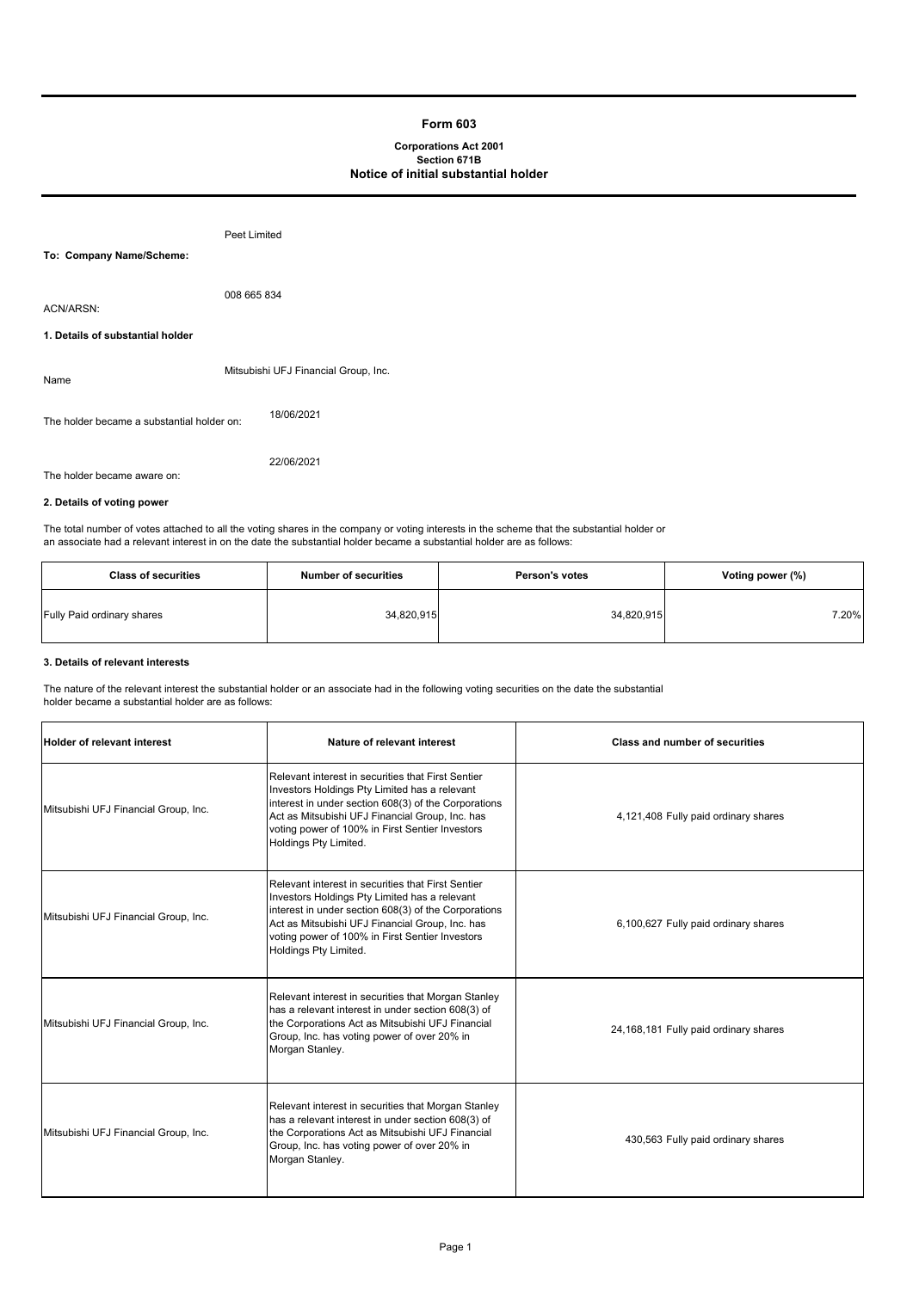# **Form 603**

# **Corporations Act 2001 Section 671B Notice of initial substantial holder**

|                                            | Peet Limited                         |
|--------------------------------------------|--------------------------------------|
| To: Company Name/Scheme:                   |                                      |
| ACN/ARSN:                                  | 008 665 834                          |
| 1. Details of substantial holder           |                                      |
| Name                                       | Mitsubishi UFJ Financial Group, Inc. |
| The holder became a substantial holder on: | 18/06/2021                           |
| The holder became aware on:                | 22/06/2021                           |

# **2. Details of voting power**

The total number of votes attached to all the voting shares in the company or voting interests in the scheme that the substantial holder or an associate had a relevant interest in on the date the substantial holder became a substantial holder are as follows:

| <b>Class of securities</b> | <b>Number of securities</b> | <b>Person's votes</b> | Voting power (%) |
|----------------------------|-----------------------------|-----------------------|------------------|
| Fully Paid ordinary shares | 34,820,915                  | 34,820,915            | 7.20%            |

# **3. Details of relevant interests**

 $\mathbf{r}$ 

The nature of the relevant interest the substantial holder or an associate had in the following voting securities on the date the substantial holder became a substantial holder are as follows:

| <b>Holder of relevant interest</b>   | Nature of relevant interest                                                                                                                                                                                                                                                                | <b>Class and number of securities</b> |
|--------------------------------------|--------------------------------------------------------------------------------------------------------------------------------------------------------------------------------------------------------------------------------------------------------------------------------------------|---------------------------------------|
| Mitsubishi UFJ Financial Group, Inc. | Relevant interest in securities that First Sentier<br>Investors Holdings Pty Limited has a relevant<br>interest in under section 608(3) of the Corporations<br>Act as Mitsubishi UFJ Financial Group, Inc. has<br>voting power of 100% in First Sentier Investors<br>Holdings Pty Limited. | 4,121,408 Fully paid ordinary shares  |
| Mitsubishi UFJ Financial Group, Inc. | Relevant interest in securities that First Sentier<br>Investors Holdings Pty Limited has a relevant<br>interest in under section 608(3) of the Corporations<br>Act as Mitsubishi UFJ Financial Group, Inc. has<br>voting power of 100% in First Sentier Investors<br>Holdings Pty Limited. | 6,100,627 Fully paid ordinary shares  |
| Mitsubishi UFJ Financial Group, Inc. | Relevant interest in securities that Morgan Stanley<br>has a relevant interest in under section 608(3) of<br>the Corporations Act as Mitsubishi UFJ Financial<br>Group, Inc. has voting power of over 20% in<br>Morgan Stanley.                                                            | 24,168,181 Fully paid ordinary shares |
| Mitsubishi UFJ Financial Group, Inc. | Relevant interest in securities that Morgan Stanley<br>has a relevant interest in under section 608(3) of<br>the Corporations Act as Mitsubishi UFJ Financial<br>Group, Inc. has voting power of over 20% in<br>Morgan Stanley.                                                            | 430,563 Fully paid ordinary shares    |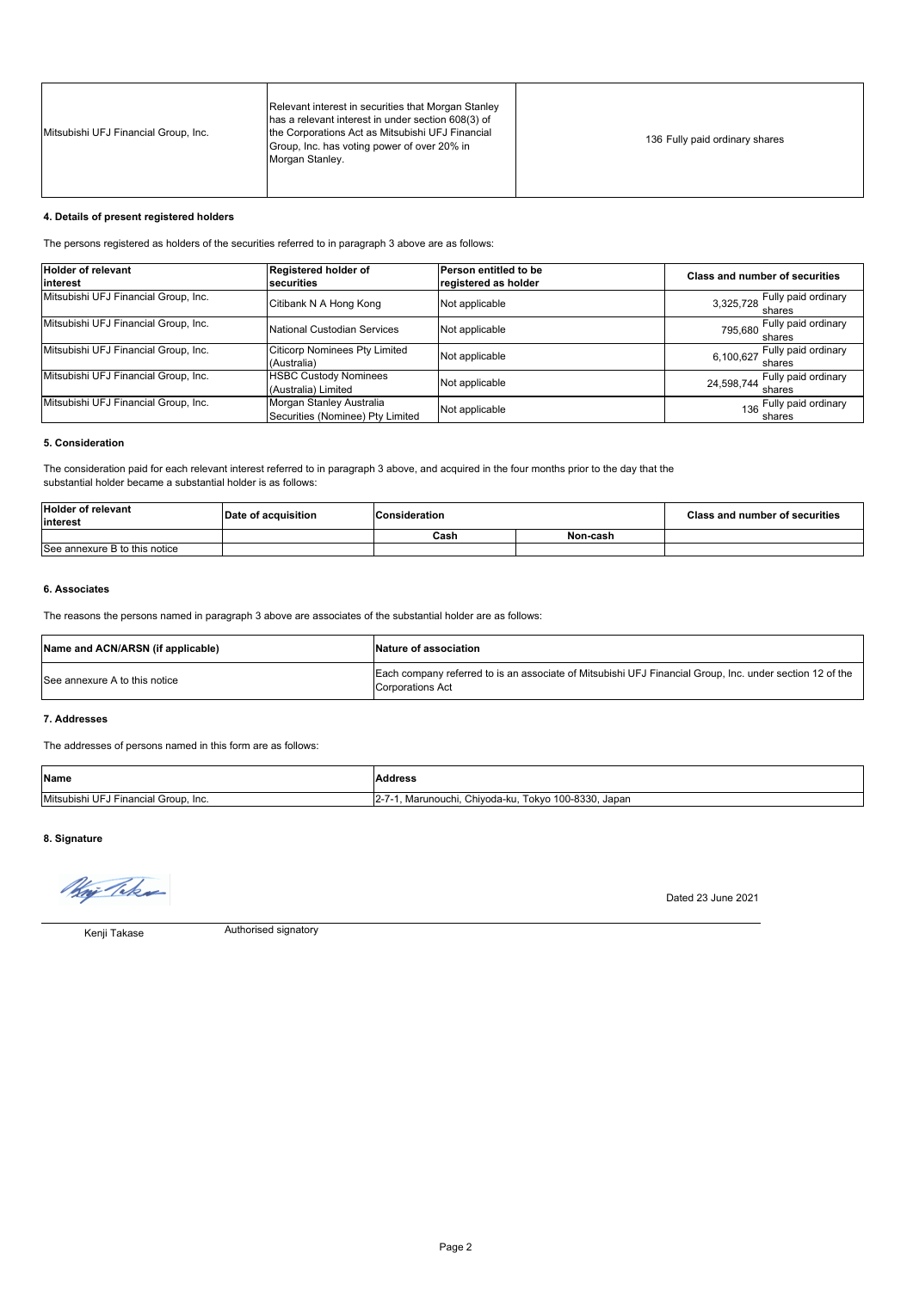| Mitsubishi UFJ Financial Group, Inc. | Relevant interest in securities that Morgan Stanley<br>has a relevant interest in under section 608(3) of<br>the Corporations Act as Mitsubishi UFJ Financial<br>Group, Inc. has voting power of over 20% in<br>Morgan Stanley. | 136 Fully paid ordinary shares |
|--------------------------------------|---------------------------------------------------------------------------------------------------------------------------------------------------------------------------------------------------------------------------------|--------------------------------|
|--------------------------------------|---------------------------------------------------------------------------------------------------------------------------------------------------------------------------------------------------------------------------------|--------------------------------|

# **4. Details of present registered holders**

The persons registered as holders of the securities referred to in paragraph 3 above are as follows:

| <b>Holder of relevant</b><br><b>linterest</b> | Registered holder of<br><b>securities</b>                    | Person entitled to be<br>registered as holder | <b>Class and number of securities</b>         |
|-----------------------------------------------|--------------------------------------------------------------|-----------------------------------------------|-----------------------------------------------|
| Mitsubishi UFJ Financial Group, Inc.          | Citibank N A Hong Kong                                       | Not applicable                                | 3,325,728 Fully paid ordinary                 |
| Mitsubishi UFJ Financial Group, Inc.          | National Custodian Services                                  | Not applicable                                | 795,680 Fully paid ordinary<br>795,680 shares |
| Mitsubishi UFJ Financial Group, Inc.          | <b>Citicorp Nominees Pty Limited</b><br>(Australia)          | Not applicable                                | Fully paid ordinary<br>6,100,627<br>shares    |
| Mitsubishi UFJ Financial Group, Inc.          | <b>HSBC Custody Nominees</b><br>(Australia) Limited          | Not applicable                                | Fully paid ordinary<br>24,598,744<br>shares   |
| Mitsubishi UFJ Financial Group, Inc.          | Morgan Stanley Australia<br>Securities (Nominee) Pty Limited | Not applicable                                | 136 Fully paid ordinary<br>shares             |

# **5. Consideration**

The consideration paid for each relevant interest referred to in paragraph 3 above, and acquired in the four months prior to the day that the substantial holder became a substantial holder is as follows:

| <b>Holder of relevant</b><br>interest | Date of acquisition | Consideration |          | <b>Class and number of securities</b> |
|---------------------------------------|---------------------|---------------|----------|---------------------------------------|
|                                       |                     | Cash          | Non-cash |                                       |
| See annexure B to this notice         |                     |               |          |                                       |

### **6. Associates**

The reasons the persons named in paragraph 3 above are associates of the substantial holder are as follows:

| Name and ACN/ARSN (if applicable) | Nature of association                                                                                                               |
|-----------------------------------|-------------------------------------------------------------------------------------------------------------------------------------|
| See annexure A to this notice     | Each company referred to is an associate of Mitsubishi UFJ Financial Group, Inc. under section 12 of the<br><b>Corporations Act</b> |

# **7. Addresses**

The addresses of persons named in this form are as follows:

| <b>Name</b>                                  | Address                                               |
|----------------------------------------------|-------------------------------------------------------|
| Mitsubishi UFJ<br>Financial Group,<br>. Inc. | 100-8330, Japan<br>Chiyoda-ku<br>Tokyo<br>Marunouchi. |

# **8. Signature**

May Take

Dated 23 June 2021

Kenji Takase

Authorised signatory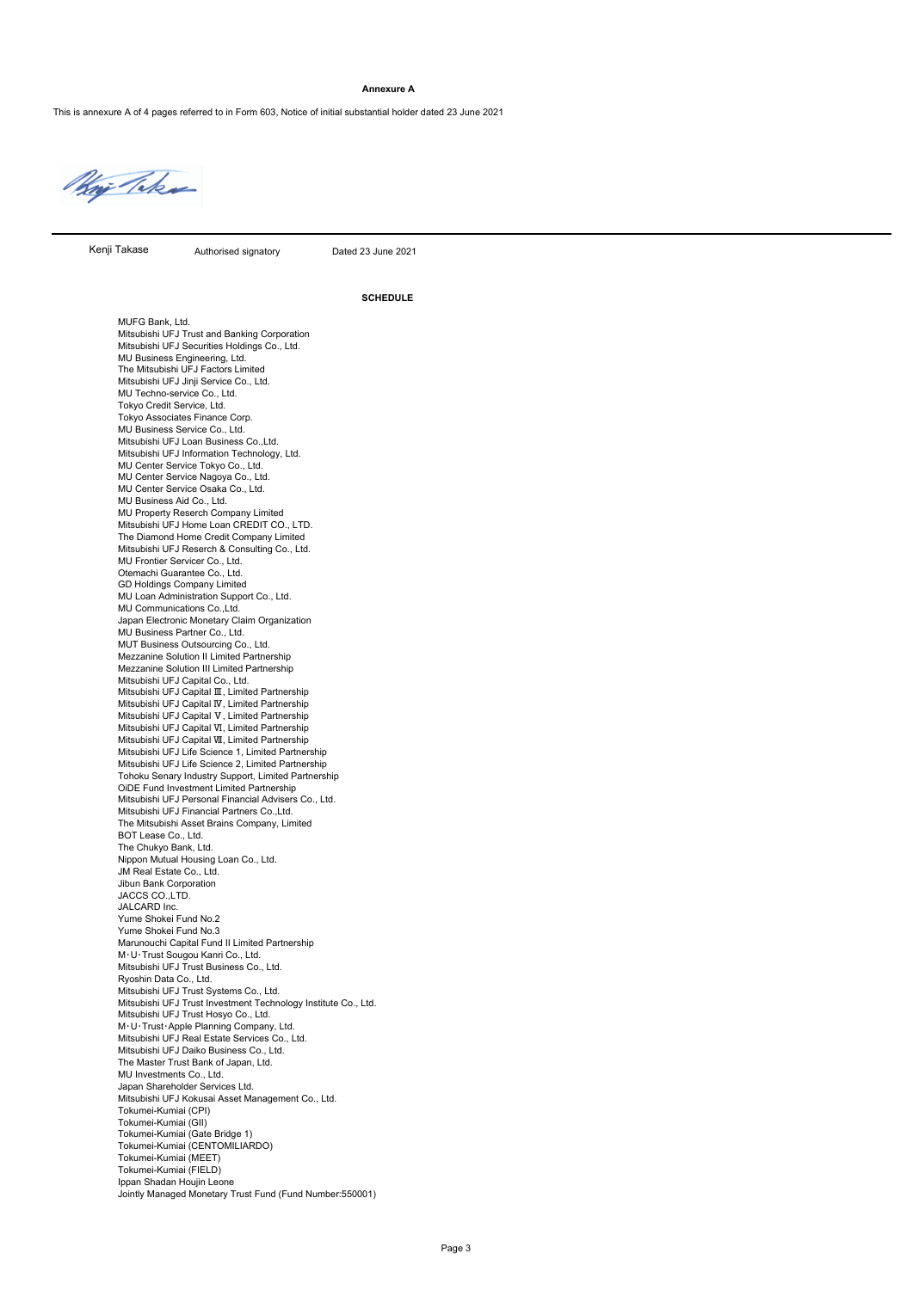#### **Annexure A**

This is annexure A of 4 pages referred to in Form 603, Notice of initial substantial holder dated 23 June 2021

Hoj Taka

Kenji Takase

Authorised signatory Dated 23 June 2021

**SCHEDULE**

MUFG Bank, Ltd. Mitsubishi UFJ Trust and Banking Corporation Mitsubishi UFJ Securities Holdings Co., Ltd. MU Business Engineering, Ltd. The Mitsubishi UFJ Factors Limited Mitsubishi UFJ Jinji Service Co., Ltd. MU Techno-service Co., Ltd. Tokyo Credit Service, Ltd. Tokyo Associates Finance Corp. MU Business Service Co., Ltd. Mitsubishi UFJ Loan Business Co.,Ltd. Mitsubishi UFJ Information Technology, Ltd. MU Center Service Tokyo Co., Ltd. MU Center Service Nagoya Co., Ltd. MU Center Service Osaka Co., Ltd. MU Business Aid Co., Ltd. MU Property Reserch Company Limited Mitsubishi UFJ Home Loan CREDIT CO., LTD. The Diamond Home Credit Company Limited Mitsubishi UFJ Reserch & Consulting Co., Ltd. MU Frontier Servicer Co., Ltd. Otemachi Guarantee Co., Ltd. GD Holdings Company Limited MU Loan Administration Support Co., Ltd. MU Communications Co.,Ltd. Japan Electronic Monetary Claim Organization MU Business Partner Co., Ltd. MUT Business Outsourcing Co., Ltd. Mezzanine Solution II Limited Partnership Mezzanine Solution III Limited Partnership Mitsubishi UFJ Capital Co., Ltd. Mitsubishi UFJ Capital Ⅲ, Limited Partnership Mitsubishi UFJ Capital Ⅳ, Limited Partnership Mitsubishi UFJ Capital Ⅴ, Limited Partnership Mitsubishi UFJ Capital Ⅵ, Limited Partnership Mitsubishi UFJ Capital Ⅶ, Limited Partnership Mitsubishi UFJ Life Science 1, Limited Partnership Mitsubishi UFJ Life Science 2, Limited Partnership Tohoku Senary Industry Support, Limited Partnership OiDE Fund Investment Limited Partnership Mitsubishi UFJ Personal Financial Advisers Co., Ltd. Mitsubishi UFJ Financial Partners Co.,Ltd. The Mitsubishi Asset Brains Company, Limited BOT Lease Co., Ltd. The Chukyo Bank, Ltd. Nippon Mutual Housing Loan Co., Ltd. JM Real Estate Co., Ltd. Jibun Bank Corporation JACCS CO.,LTD. JALCARD Inc. Yume Shokei Fund No.2 Yume Shokei Fund No.3 Marunouchi Capital Fund II Limited Partnership M・U・Trust Sougou Kanri Co., Ltd. Mitsubishi UFJ Trust Business Co., Ltd. Ryoshin Data Co., Ltd. Mitsubishi UFJ Trust Systems Co., Ltd. Mitsubishi UFJ Trust Investment Technology Institute Co., Ltd. Mitsubishi UFJ Trust Hosyo Co., Ltd. M・U・Trust・Apple Planning Company, Ltd. Mitsubishi UFJ Real Estate Services Co., Ltd. Mitsubishi UFJ Daiko Business Co., Ltd. The Master Trust Bank of Japan, Ltd. MU Investments Co., Ltd. Japan Shareholder Services Ltd. Mitsubishi UFJ Kokusai Asset Management Co., Ltd. Tokumei-Kumiai (CPI) Tokumei-Kumiai (GII) Tokumei-Kumiai (Gate Bridge 1) Tokumei-Kumiai (CENTOMILIARDO) Tokumei-Kumiai (MEET) Tokumei-Kumiai (FIELD) Ippan Shadan Houjin Leone Jointly Managed Monetary Trust Fund (Fund Number:550001)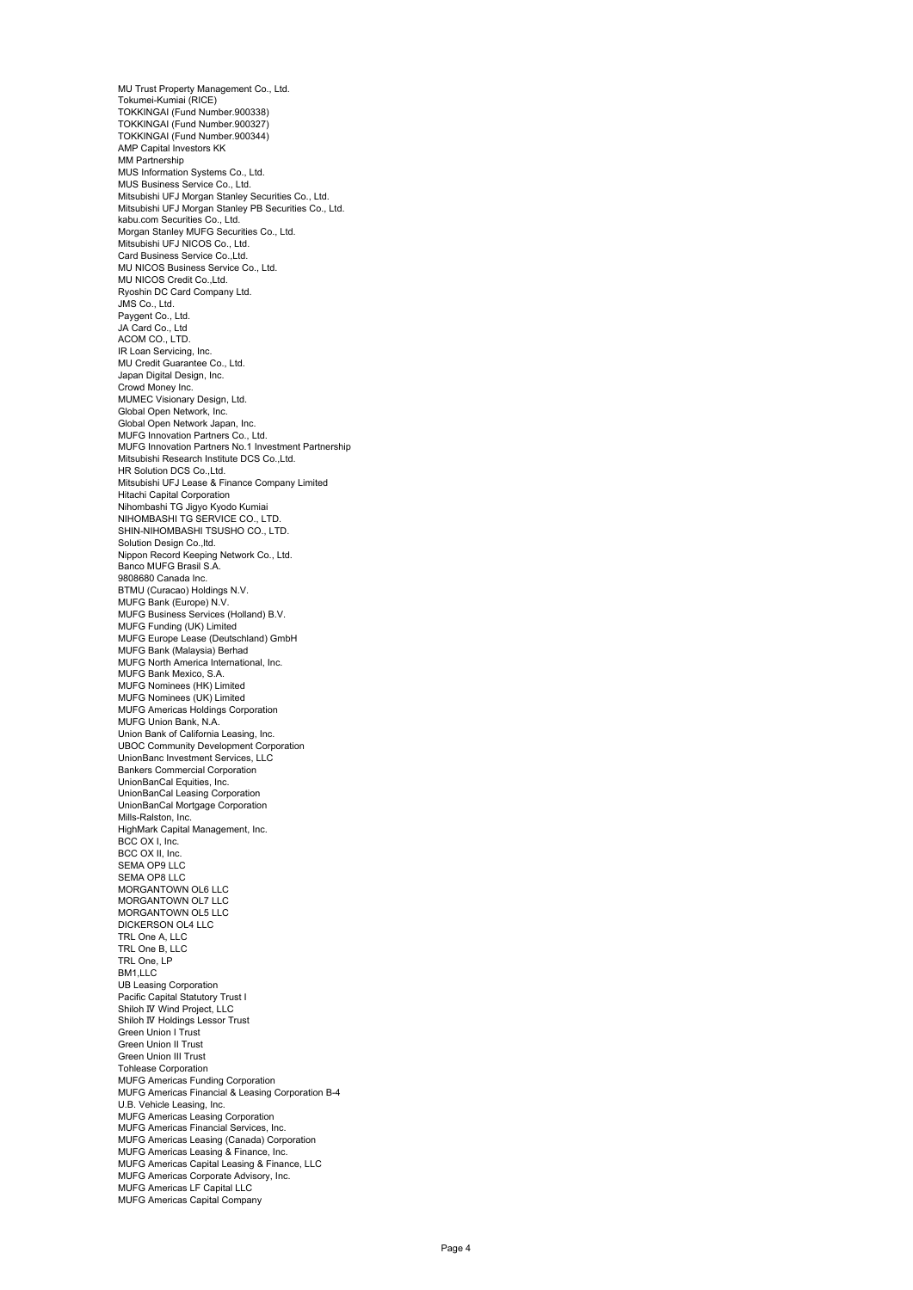MU Trust Property Management Co., Ltd. Tokumei-Kumiai (RICE) TOKKINGAI (Fund Number.900338) TOKKINGAI (Fund Number.900327) TOKKINGAI (Fund Number.900344) AMP Capital Investors KK MM Partnership MUS Information Systems Co., Ltd. MUS Business Service Co., Ltd. Mitsubishi UFJ Morgan Stanley Securities Co., Ltd. Mitsubishi UFJ Morgan Stanley PB Securities Co., Ltd. kabu.com Securities Co., Ltd. Morgan Stanley MUFG Securities Co., Ltd. Mitsubishi UFJ NICOS Co., Ltd. Card Business Service Co., Ltd. MU NICOS Business Service Co., Ltd. MU NICOS Credit Co., Ltd. Ryoshin DC Card Company Ltd. JMS Co., Ltd. Paygent Co., Ltd. JA Card Co., Ltd ACOM CO., LTD. IR Loan Servicing, Inc. MU Credit Guarantee Co., Ltd. Japan Digital Design, Inc. Crowd Money Inc. MUMEC Visionary Design, Ltd. Global Open Network, Inc. Global Open Network Japan, Inc. MUFG Innovation Partners Co., Ltd. MUFG Innovation Partners No.1 Investment Partnership Mitsubishi Research Institute DCS Co.,Ltd. HR Solution DCS Co.,Ltd. Mitsubishi UFJ Lease & Finance Company Limited Hitachi Capital Corporation Nihombashi TG Jigyo Kyodo Kumiai NIHOMBASHI TG SERVICE CO., LTD. SHIN-NIHOMBASHI TSUSHO CO., LTD. Solution Design Co., Itd. Nippon Record Keeping Network Co., Ltd. Banco MUFG Brasil S.A. 9808680 Canada Inc. BTMU (Curacao) Holdings N.V. MUFG Bank (Europe) N.V. MUFG Business Services (Holland) B.V. MUFG Funding (UK) Limited MUFG Europe Lease (Deutschland) GmbH MUFG Bank (Malaysia) Berhad MUFG North America International, Inc. MUFG Bank Mexico, S.A. MUFG Nominees (HK) Limited MUFG Nominees (UK) Limited MUFG Americas Holdings Corporation MUFG Union Bank, N.A. Union Bank of California Leasing, Inc. UBOC Community Development Corporation UnionBanc Investment Services, LLC Bankers Commercial Corporation UnionBanCal Equities, Inc. UnionBanCal Leasing Corporation UnionBanCal Mortgage Corporation Mills-Ralston, Inc. HighMark Capital Management, Inc. BCC OX I, Inc. BCC OX II, Inc. SEMA OP9 LLC SEMA OP8 LLC MORGANTOWN OL6 LLC MORGANTOWN OL7 LLC MORGANTOWN OL5 LLC DICKERSON OL4 LLC TRL One A, LLC TRL One B, LLC TRL One, LP BM1,LLC UB Leasing Corporation Pacific Capital Statutory Trust I Shiloh Ⅳ Wind Project, LLC Shiloh IV Holdings Lessor Trust Green Union I Trust Green Union II Trust Green Union III Trust Tohlease Corporation MUFG Americas Funding Corporation MUFG Americas Financial & Leasing Corporation B-4 U.B. Vehicle Leasing, Inc. MUFG Americas Leasing Corporation MUFG Americas Financial Services, Inc. MUFG Americas Leasing (Canada) Corporation MUFG Americas Leasing & Finance, Inc. MUFG Americas Capital Leasing & Finance, LLC MUFG Americas Corporate Advisory, Inc. MUFG Americas LF Capital LLC MUFG Americas Capital Company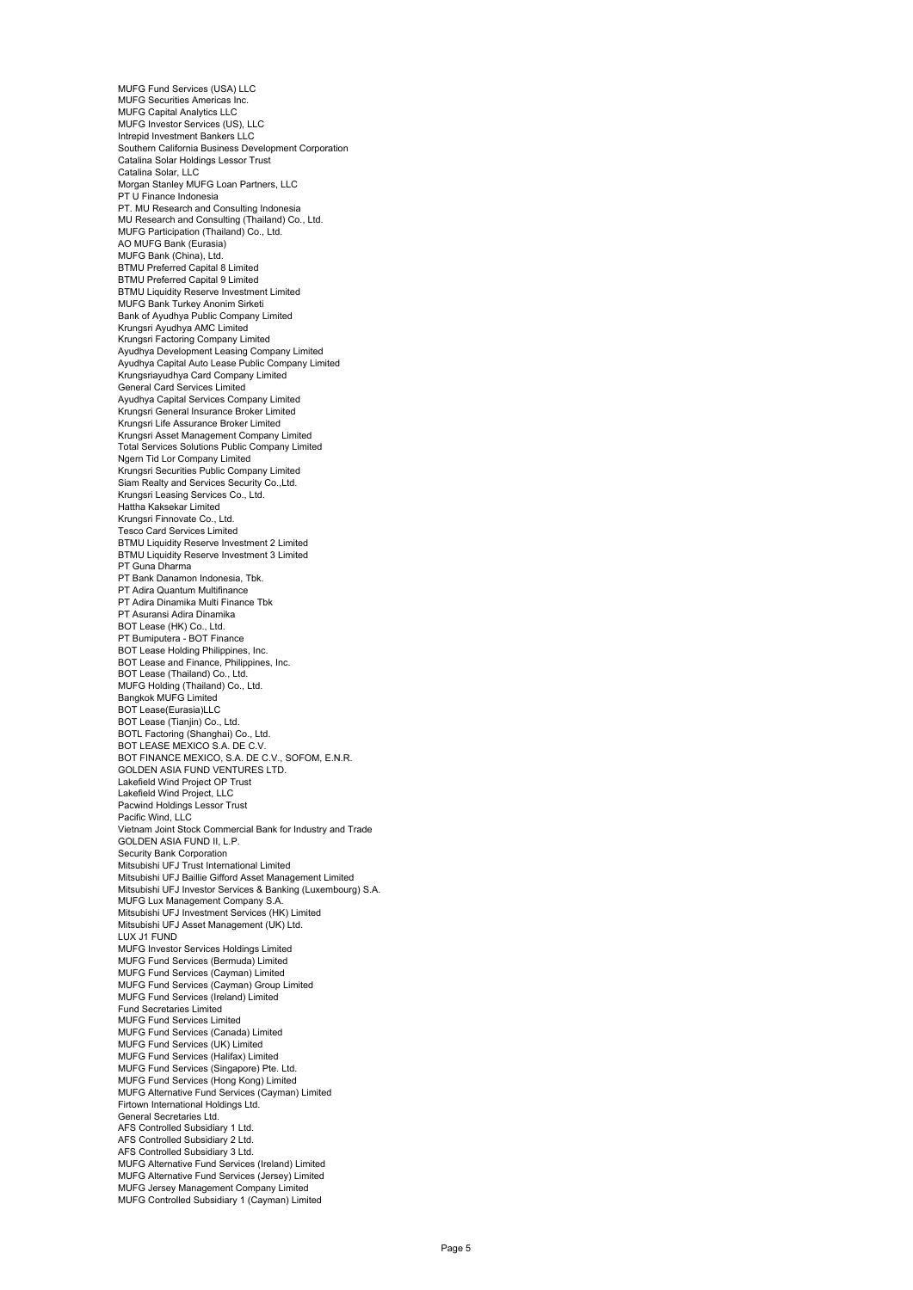MUFG Fund Services (USA) LLC MUFG Securities Americas Inc. MUFG Capital Analytics LLC MUFG Investor Services (US), LLC Intrepid Investment Bankers LLC Southern California Business Development Corporation Catalina Solar Holdings Lessor Trust Catalina Solar, LLC Morgan Stanley MUFG Loan Partners, LLC PT U Finance Indonesia PT. MU Research and Consulting Indonesia MU Research and Consulting (Thailand) Co., Ltd. MUFG Participation (Thailand) Co., Ltd. AO MUFG Bank (Eurasia) MUFG Bank (China), Ltd. BTMU Preferred Capital 8 Limited BTMU Preferred Capital 9 Limited BTMU Liquidity Reserve Investment Limited MUFG Bank Turkey Anonim Sirketi Bank of Ayudhya Public Company Limited Krungsri Ayudhya AMC Limited Krungsri Factoring Company Limited Ayudhya Development Leasing Company Limited Ayudhya Capital Auto Lease Public Company Limited Krungsriayudhya Card Company Limited General Card Services Limited Ayudhya Capital Services Company Limited Krungsri General Insurance Broker Limited Krungsri Life Assurance Broker Limited Krungsri Asset Management Company Limited Total Services Solutions Public Company Limited Ngern Tid Lor Company Limited Krungsri Securities Public Company Limited Siam Realty and Services Security Co.,Ltd. Krungsri Leasing Services Co., Ltd. Hattha Kaksekar Limited Krungsri Finnovate Co., Ltd. Tesco Card Services Limited BTMU Liquidity Reserve Investment 2 Limited BTMU Liquidity Reserve Investment 3 Limited PT Guna Dharma PT Bank Danamon Indonesia, Tbk. PT Adira Quantum Multifinance PT Adira Dinamika Multi Finance Tbk PT Asuransi Adira Dinamika BOT Lease (HK) Co., Ltd. PT Bumiputera - BOT Finance BOT Lease Holding Philippines, Inc. BOT Lease and Finance, Philippines, Inc. BOT Lease (Thailand) Co., Ltd. MUFG Holding (Thailand) Co., Ltd. Bangkok MUFG Limited BOT Lease(Eurasia)LLC BOT Lease (Tianjin) Co., Ltd. BOTL Factoring (Shanghai) Co., Ltd. BOT LEASE MEXICO S.A. DE C.V. BOT FINANCE MEXICO, S.A. DE C.V., SOFOM, E.N.R. GOLDEN ASIA FUND VENTURES LTD. Lakefield Wind Project OP Trust Lakefield Wind Project, LLC Pacwind Holdings Lessor Trust Pacific Wind, LLC Vietnam Joint Stock Commercial Bank for Industry and Trade GOLDEN ASIA FUND II, L.P. Security Bank Corporation Mitsubishi UFJ Trust International Limited Mitsubishi UFJ Baillie Gifford Asset Management Limited Mitsubishi UFJ Investor Services & Banking (Luxembourg) S.A. MUFG Lux Management Company S.A. Mitsubishi UFJ Investment Services (HK) Limited Mitsubishi UFJ Asset Management (UK) Ltd. LUX J1 FUND MUFG Investor Services Holdings Limited MUFG Fund Services (Bermuda) Limited MUFG Fund Services (Cayman) Limited MUFG Fund Services (Cayman) Group Limited MUFG Fund Services (Ireland) Limited Fund Secretaries Limited MUFG Fund Services Limited MUFG Fund Services (Canada) Limited MUFG Fund Services (UK) Limited MUFG Fund Services (Halifax) Limited MUFG Fund Services (Singapore) Pte. Ltd. MUFG Fund Services (Hong Kong) Limited MUFG Alternative Fund Services (Cayman) Limited Firtown International Holdings Ltd. General Secretaries Ltd. AFS Controlled Subsidiary 1 Ltd. AFS Controlled Subsidiary 2 Ltd. AFS Controlled Subsidiary 3 Ltd. MUFG Alternative Fund Services (Ireland) Limited MUFG Alternative Fund Services (Jersey) Limited MUFG Jersey Management Company Limited MUFG Controlled Subsidiary 1 (Cayman) Limited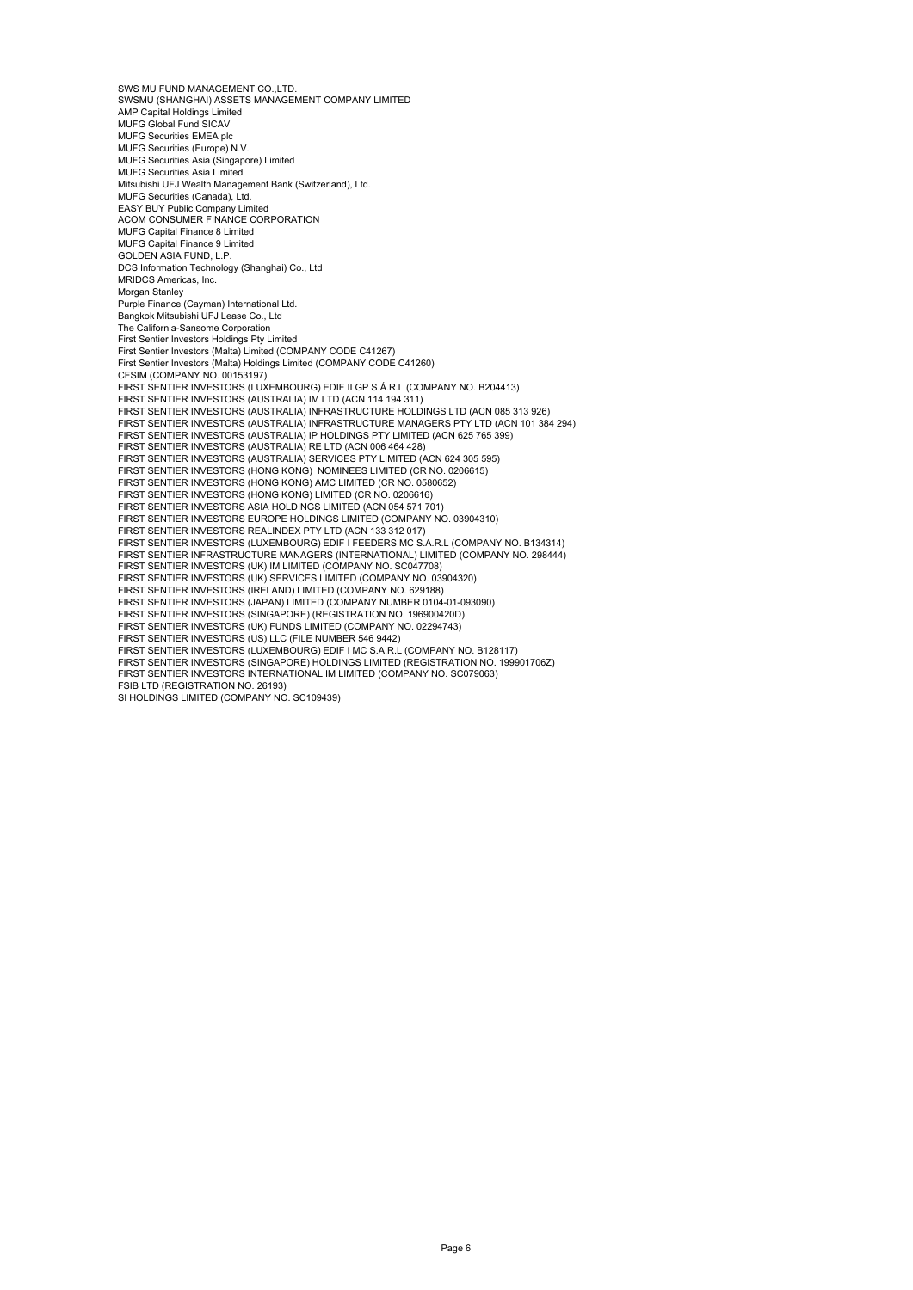SWS MU FUND MANAGEMENT CO. LTD. SWSMU (SHANGHAI) ASSETS MANAGEMENT COMPANY LIMITED AMP Capital Holdings Limited MUFG Global Fund SICAV MUFG Securities EMEA plc MUFG Securities (Europe) N.V. MUFG Securities Asia (Singapore) Limited MUFG Securities Asia Limited Mitsubishi UFJ Wealth Management Bank (Switzerland), Ltd. MUFG Securities (Canada), Ltd. EASY BUY Public Company Limited ACOM CONSUMER FINANCE CORPORATION MUFG Capital Finance 8 Limited MUFG Capital Finance 9 Limited GOLDEN ASIA FUND, L.P. DCS Information Technology (Shanghai) Co., Ltd MRIDCS Americas, Inc. Morgan Stanley **Purple Finance (Cayman) International Ltd.** Bangkok Mitsubishi UFJ Lease Co., Ltd The California-Sansome Corporation First Sentier Investors Holdings Pty Limited First Sentier Investors (Malta) Limited (COMPANY CODE C41267) First Sentier Investors (Malta) Holdings Limited (COMPANY CODE C41260) CFSIM (COMPANY NO. 00153197) FIRST SENTIER INVESTORS (LUXEMBOURG) EDIF II GP S.Á.R.L (COMPANY NO. B204413) FIRST SENTIER INVESTORS (AUSTRALIA) IM LTD (ACN 114 194 311) FIRST SENTIER INVESTORS (AUSTRALIA) INFRASTRUCTURE HOLDINGS LTD (ACN 085 313 926) FIRST SENTIER INVESTORS (AUSTRALIA) INFRASTRUCTURE MANAGERS PTY LTD (ACN 101 384 294) FIRST SENTIER INVESTORS (AUSTRALIA) IP HOLDINGS PTY LIMITED (ACN 625 765 399) FIRST SENTIER INVESTORS (AUSTRALIA) RE LTD (ACN 006 464 428) FIRST SENTIER INVESTORS (AUSTRALIA) SERVICES PTY LIMITED (ACN 624 305 595)<br>FIRST SENTIER INVESTORS (HONG KONG) NOMINEES LIMITED (CR NO. 0206615)<br>FIRST SENTIER INVESTORS (HONG KONG) AMC LIMITED (CR NO. 0580652) FIRST SENTIER INVESTORS (HONG KONG) LIMITED (CR NO. 0206616) FIRST SENTIER INVESTORS ASIA HOLDINGS LIMITED (ACN 054 571 701) FIRST SENTIER INVESTORS EUROPE HOLDINGS LIMITED (COMPANY NO. 03904310) FIRST SENTIER INVESTORS REALINDEX PTY LTD (ACN 133 312 017) FIRST SENTIER INVESTORS (LUXEMBOURG) EDIF I FEEDERS MC S.A.R.L (COMPANY NO. B134314) FIRST SENTIER INFRASTRUCTURE MANAGERS (INTERNATIONAL) LIMITED (COMPANY NO. 298444) FIRST SENTIER INVESTORS (UK) IM LIMITED (COMPANY NO. SC047708) FIRST SENTIER INVESTORS (UK) SERVICES LIMITED (COMPANY NO. 03904320) FIRST SENTIER INVESTORS (IRELAND) LIMITED (COMPANY NO. 629188) FIRST SENTIER INVESTORS (JAPAN) LIMITED (COMPANY NUMBER 0104-01-093090) FIRST SENTIER INVESTORS (SINGAPORE) (REGISTRATION NO. 196900420D) FIRST SENTIER INVESTORS (UK) FUNDS LIMITED (COMPANY NO. 02294743) FIRST SENTIER INVESTORS (US) LLC (FILE NUMBER 546 9442) FIRST SENTIER INVESTORS (LUXEMBOURG) EDIF I MC S.A.R.L (COMPANY NO. B128117) FIRST SENTIER INVESTORS (SINGAPORE) HOLDINGS LIMITED (REGISTRATION NO. 199901706Z) FIRST SENTIER INVESTORS INTERNATIONAL IM LIMITED (COMPANY NO. SC079063) FSIB LTD (REGISTRATION NO. 26193)

SI HOLDINGS LIMITED (COMPANY NO. SC109439)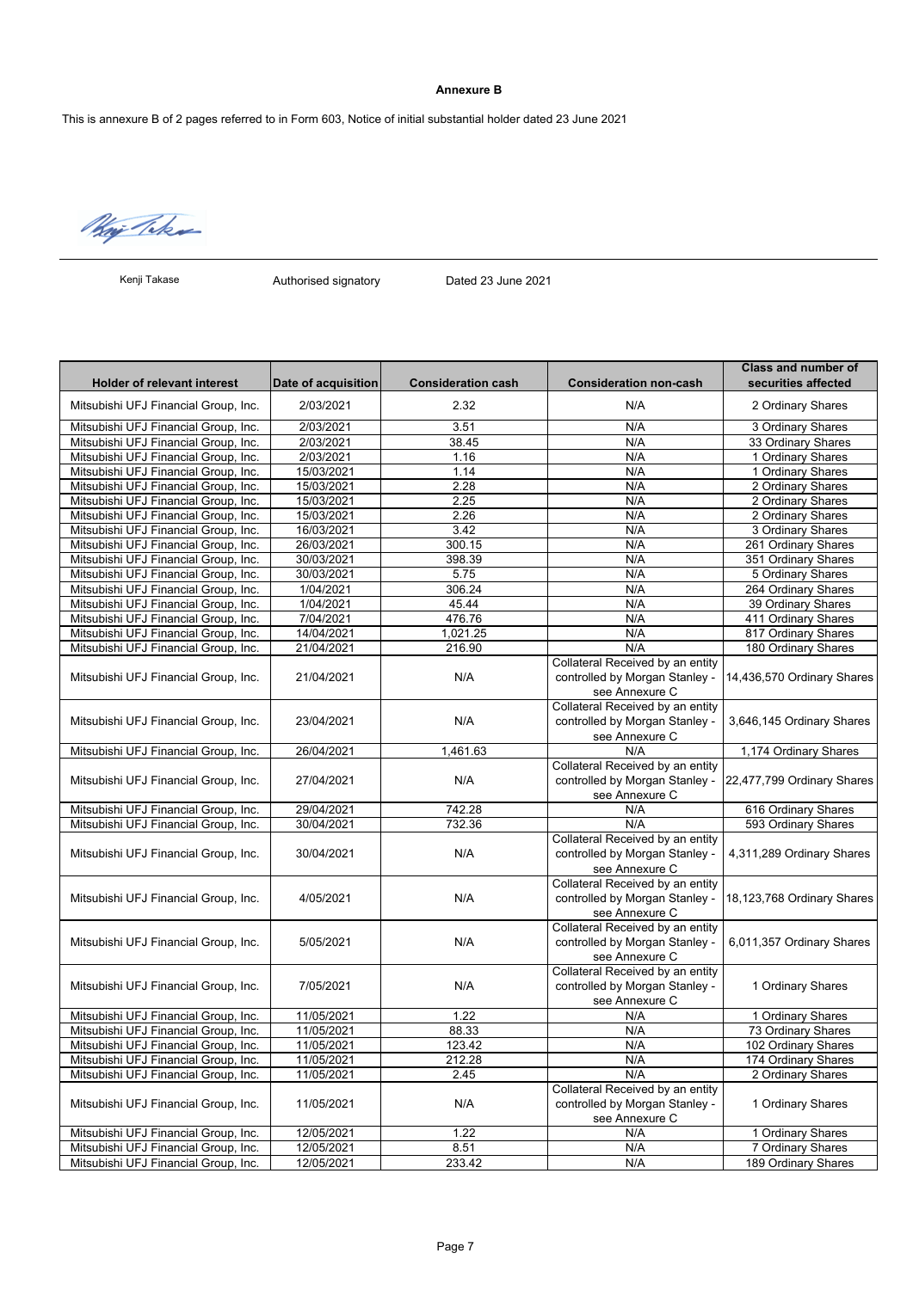# **Annexure B**

This is annexure B of 2 pages referred to in Form 603, Notice of initial substantial holder dated 23 June 2021

Way Take

Kenji Takase

Authorised signatory Dated 23 June 2021

| <b>Holder of relevant interest</b>   | Date of acquisition | <b>Consideration cash</b> | <b>Consideration non-cash</b>    | <b>Class and number of</b><br>securities affected |
|--------------------------------------|---------------------|---------------------------|----------------------------------|---------------------------------------------------|
| Mitsubishi UFJ Financial Group, Inc. | 2/03/2021           | 2.32                      | N/A                              | 2 Ordinary Shares                                 |
| Mitsubishi UFJ Financial Group, Inc. | 2/03/2021           | 3.51                      | N/A                              | 3 Ordinary Shares                                 |
| Mitsubishi UFJ Financial Group, Inc. | 2/03/2021           | 38.45                     | N/A                              | 33 Ordinary Shares                                |
| Mitsubishi UFJ Financial Group, Inc. | 2/03/2021           | 1.16                      | N/A                              | 1 Ordinary Shares                                 |
| Mitsubishi UFJ Financial Group, Inc. | 15/03/2021          | 1.14                      | N/A                              | 1 Ordinary Shares                                 |
| Mitsubishi UFJ Financial Group, Inc. | 15/03/2021          | 2.28                      | N/A                              | 2 Ordinary Shares                                 |
| Mitsubishi UFJ Financial Group, Inc. | 15/03/2021          | 2.25                      | N/A                              | 2 Ordinary Shares                                 |
| Mitsubishi UFJ Financial Group, Inc. | 15/03/2021          | 2.26                      | N/A                              | 2 Ordinary Shares                                 |
| Mitsubishi UFJ Financial Group, Inc. | 16/03/2021          | 3.42                      | N/A                              | 3 Ordinary Shares                                 |
| Mitsubishi UFJ Financial Group, Inc. | 26/03/2021          | 300.15                    | N/A                              | 261 Ordinary Shares                               |
| Mitsubishi UFJ Financial Group, Inc. | 30/03/2021          | 398.39                    | N/A                              | 351 Ordinary Shares                               |
| Mitsubishi UFJ Financial Group, Inc. | 30/03/2021          | 5.75                      | N/A                              | 5 Ordinary Shares                                 |
| Mitsubishi UFJ Financial Group, Inc. | 1/04/2021           | 306.24                    | N/A                              | 264 Ordinary Shares                               |
| Mitsubishi UFJ Financial Group, Inc. | 1/04/2021           | 45.44                     | N/A                              | 39 Ordinary Shares                                |
| Mitsubishi UFJ Financial Group, Inc. | 7/04/2021           | 476.76                    | N/A                              | 411 Ordinary Shares                               |
| Mitsubishi UFJ Financial Group, Inc. | 14/04/2021          | 1,021.25                  | N/A                              | 817 Ordinary Shares                               |
| Mitsubishi UFJ Financial Group, Inc. | 21/04/2021          | 216.90                    | N/A                              | 180 Ordinary Shares                               |
|                                      |                     |                           | Collateral Received by an entity |                                                   |
| Mitsubishi UFJ Financial Group, Inc. | 21/04/2021          | N/A                       | controlled by Morgan Stanley -   | 14,436,570 Ordinary Shares                        |
|                                      |                     |                           | see Annexure C                   |                                                   |
|                                      |                     |                           | Collateral Received by an entity |                                                   |
| Mitsubishi UFJ Financial Group, Inc. | 23/04/2021          | N/A                       | controlled by Morgan Stanley -   | 3,646,145 Ordinary Shares                         |
|                                      |                     |                           | see Annexure C                   |                                                   |
| Mitsubishi UFJ Financial Group, Inc. | 26/04/2021          | 1,461.63                  | N/A                              | 1,174 Ordinary Shares                             |
|                                      |                     |                           | Collateral Received by an entity |                                                   |
| Mitsubishi UFJ Financial Group, Inc. | 27/04/2021          | N/A                       | controlled by Morgan Stanley -   | 22,477,799 Ordinary Shares                        |
|                                      |                     |                           | see Annexure C                   |                                                   |
| Mitsubishi UFJ Financial Group, Inc. | 29/04/2021          | 742.28                    | N/A                              | 616 Ordinary Shares                               |
| Mitsubishi UFJ Financial Group, Inc. | 30/04/2021          | 732.36                    | N/A                              | 593 Ordinary Shares                               |
|                                      |                     |                           | Collateral Received by an entity |                                                   |
| Mitsubishi UFJ Financial Group, Inc. | 30/04/2021          | N/A                       | controlled by Morgan Stanley -   | 4,311,289 Ordinary Shares                         |
|                                      |                     |                           | see Annexure C                   |                                                   |
|                                      |                     |                           | Collateral Received by an entity |                                                   |
| Mitsubishi UFJ Financial Group, Inc. | 4/05/2021           | N/A                       | controlled by Morgan Stanley -   | 18,123,768 Ordinary Shares                        |
|                                      |                     |                           | see Annexure C                   |                                                   |
|                                      |                     |                           | Collateral Received by an entity |                                                   |
| Mitsubishi UFJ Financial Group, Inc. | 5/05/2021           | N/A                       | controlled by Morgan Stanley -   | 6,011,357 Ordinary Shares                         |
|                                      |                     |                           | see Annexure C                   |                                                   |
|                                      |                     |                           | Collateral Received by an entity |                                                   |
| Mitsubishi UFJ Financial Group, Inc. | 7/05/2021           | N/A                       | controlled by Morgan Stanley -   | 1 Ordinary Shares                                 |
|                                      |                     |                           | see Annexure C                   |                                                   |
| Mitsubishi UFJ Financial Group, Inc. | 11/05/2021          | 1.22                      | N/A                              | 1 Ordinary Shares                                 |
| Mitsubishi UFJ Financial Group, Inc. | 11/05/2021          | 88.33                     | N/A                              | 73 Ordinary Shares                                |
| Mitsubishi UFJ Financial Group, Inc. | 11/05/2021          | 123.42                    | N/A                              | 102 Ordinary Shares                               |
| Mitsubishi UFJ Financial Group, Inc. | 11/05/2021          | 212.28                    | N/A                              | 174 Ordinary Shares                               |
| Mitsubishi UFJ Financial Group, Inc. | 11/05/2021          | 2.45                      | N/A                              | 2 Ordinary Shares                                 |
|                                      |                     |                           | Collateral Received by an entity |                                                   |
| Mitsubishi UFJ Financial Group, Inc. | 11/05/2021          | N/A                       | controlled by Morgan Stanley -   | 1 Ordinary Shares                                 |
|                                      |                     |                           | see Annexure C                   |                                                   |
| Mitsubishi UFJ Financial Group, Inc. | 12/05/2021          | 1.22                      | N/A                              | 1 Ordinary Shares                                 |
| Mitsubishi UFJ Financial Group, Inc. | 12/05/2021          | 8.51                      | N/A                              | 7 Ordinary Shares                                 |
| Mitsubishi UFJ Financial Group, Inc. | 12/05/2021          | 233.42                    | N/A                              | 189 Ordinary Shares                               |
|                                      |                     |                           |                                  |                                                   |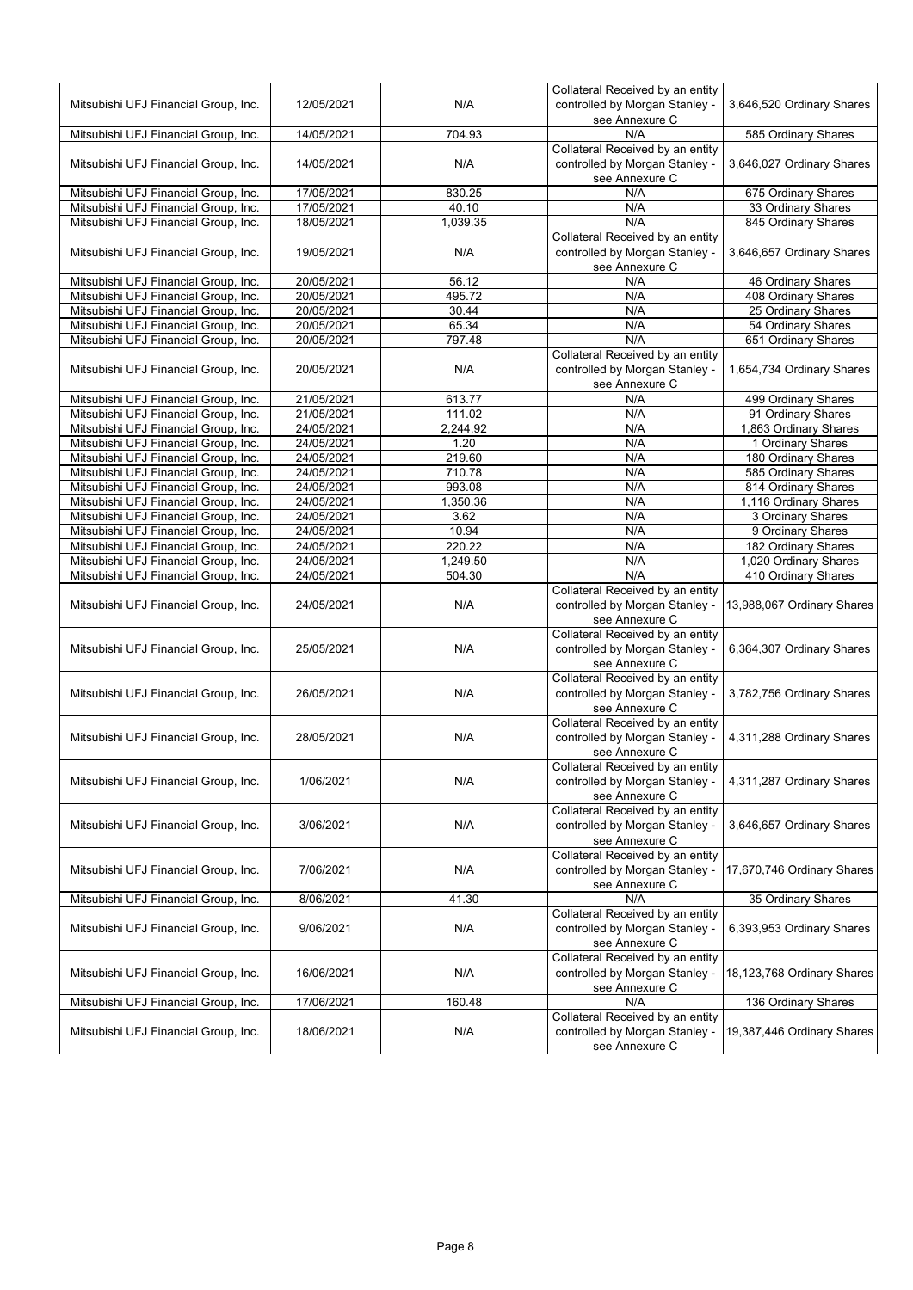| Mitsubishi UFJ Financial Group, Inc. | 12/05/2021 | N/A      | Collateral Received by an entity<br>controlled by Morgan Stanley -<br>see Annexure C | 3,646,520 Ordinary Shares  |
|--------------------------------------|------------|----------|--------------------------------------------------------------------------------------|----------------------------|
| Mitsubishi UFJ Financial Group, Inc. | 14/05/2021 | 704.93   | N/A                                                                                  | 585 Ordinary Shares        |
| Mitsubishi UFJ Financial Group, Inc. | 14/05/2021 | N/A      | Collateral Received by an entity<br>controlled by Morgan Stanley -<br>see Annexure C | 3,646,027 Ordinary Shares  |
| Mitsubishi UFJ Financial Group, Inc. | 17/05/2021 | 830.25   | N/A                                                                                  | 675 Ordinary Shares        |
| Mitsubishi UFJ Financial Group, Inc. | 17/05/2021 | 40.10    | N/A                                                                                  | 33 Ordinary Shares         |
| Mitsubishi UFJ Financial Group, Inc. | 18/05/2021 | 1,039.35 | N/A                                                                                  | 845 Ordinary Shares        |
| Mitsubishi UFJ Financial Group, Inc. | 19/05/2021 | N/A      | Collateral Received by an entity<br>controlled by Morgan Stanley -<br>see Annexure C | 3,646,657 Ordinary Shares  |
| Mitsubishi UFJ Financial Group, Inc. | 20/05/2021 | 56.12    | N/A                                                                                  | 46 Ordinary Shares         |
| Mitsubishi UFJ Financial Group, Inc. | 20/05/2021 | 495.72   | N/A                                                                                  | 408 Ordinary Shares        |
| Mitsubishi UFJ Financial Group, Inc. | 20/05/2021 | 30.44    | N/A                                                                                  | 25 Ordinary Shares         |
| Mitsubishi UFJ Financial Group, Inc. | 20/05/2021 | 65.34    | N/A                                                                                  | 54 Ordinary Shares         |
| Mitsubishi UFJ Financial Group, Inc. | 20/05/2021 | 797.48   | N/A                                                                                  | 651 Ordinary Shares        |
| Mitsubishi UFJ Financial Group, Inc. | 20/05/2021 | N/A      | Collateral Received by an entity<br>controlled by Morgan Stanley -<br>see Annexure C | 1,654,734 Ordinary Shares  |
| Mitsubishi UFJ Financial Group, Inc. | 21/05/2021 | 613.77   | N/A                                                                                  | 499 Ordinary Shares        |
| Mitsubishi UFJ Financial Group, Inc. | 21/05/2021 | 111.02   | N/A                                                                                  | 91 Ordinary Shares         |
| Mitsubishi UFJ Financial Group, Inc. | 24/05/2021 | 2,244.92 | N/A                                                                                  | 1,863 Ordinary Shares      |
| Mitsubishi UFJ Financial Group, Inc. | 24/05/2021 | 1.20     | N/A                                                                                  | 1 Ordinary Shares          |
| Mitsubishi UFJ Financial Group, Inc. | 24/05/2021 | 219.60   | N/A                                                                                  | 180 Ordinary Shares        |
| Mitsubishi UFJ Financial Group, Inc. | 24/05/2021 | 710.78   | N/A                                                                                  | 585 Ordinary Shares        |
| Mitsubishi UFJ Financial Group, Inc. | 24/05/2021 | 993.08   | N/A                                                                                  | 814 Ordinary Shares        |
| Mitsubishi UFJ Financial Group, Inc. | 24/05/2021 | 1,350.36 | N/A                                                                                  | 1,116 Ordinary Shares      |
| Mitsubishi UFJ Financial Group, Inc. | 24/05/2021 | 3.62     | N/A                                                                                  | 3 Ordinary Shares          |
| Mitsubishi UFJ Financial Group, Inc. | 24/05/2021 | 10.94    | N/A                                                                                  | 9 Ordinary Shares          |
| Mitsubishi UFJ Financial Group, Inc. | 24/05/2021 | 220.22   | N/A                                                                                  | 182 Ordinary Shares        |
| Mitsubishi UFJ Financial Group, Inc. | 24/05/2021 | 1,249.50 | N/A                                                                                  | 1,020 Ordinary Shares      |
| Mitsubishi UFJ Financial Group, Inc. | 24/05/2021 | 504.30   | N/A                                                                                  | 410 Ordinary Shares        |
| Mitsubishi UFJ Financial Group, Inc. | 24/05/2021 | N/A      | Collateral Received by an entity<br>controlled by Morgan Stanley -<br>see Annexure C | 13,988,067 Ordinary Shares |
| Mitsubishi UFJ Financial Group, Inc. | 25/05/2021 | N/A      | Collateral Received by an entity<br>controlled by Morgan Stanley -<br>see Annexure C | 6,364,307 Ordinary Shares  |
| Mitsubishi UFJ Financial Group, Inc. | 26/05/2021 | N/A      | Collateral Received by an entity<br>controlled by Morgan Stanley -<br>see Annexure C | 3,782,756 Ordinary Shares  |
| Mitsubishi UFJ Financial Group, Inc. | 28/05/2021 | N/A      | Collateral Received by an entity<br>controlled by Morgan Stanley -<br>see Annexure C | 4,311,288 Ordinary Shares  |
| Mitsubishi UFJ Financial Group, Inc. | 1/06/2021  | N/A      | Collateral Received by an entity<br>controlled by Morgan Stanley -<br>see Annexure C | 4,311,287 Ordinary Shares  |
| Mitsubishi UFJ Financial Group, Inc. | 3/06/2021  | N/A      | Collateral Received by an entity<br>controlled by Morgan Stanley -<br>see Annexure C | 3,646,657 Ordinary Shares  |
| Mitsubishi UFJ Financial Group, Inc. | 7/06/2021  | N/A      | Collateral Received by an entity<br>controlled by Morgan Stanley -<br>see Annexure C | 17,670,746 Ordinary Shares |
| Mitsubishi UFJ Financial Group, Inc. | 8/06/2021  | 41.30    | N/A                                                                                  | 35 Ordinary Shares         |
| Mitsubishi UFJ Financial Group, Inc. | 9/06/2021  | N/A      | Collateral Received by an entity<br>controlled by Morgan Stanley -<br>see Annexure C | 6,393,953 Ordinary Shares  |
| Mitsubishi UFJ Financial Group, Inc. | 16/06/2021 | N/A      | Collateral Received by an entity<br>controlled by Morgan Stanley -<br>see Annexure C | 18,123,768 Ordinary Shares |
| Mitsubishi UFJ Financial Group, Inc. | 17/06/2021 | 160.48   | N/A                                                                                  | 136 Ordinary Shares        |
| Mitsubishi UFJ Financial Group, Inc. | 18/06/2021 | N/A      | Collateral Received by an entity<br>controlled by Morgan Stanley -<br>see Annexure C | 19,387,446 Ordinary Shares |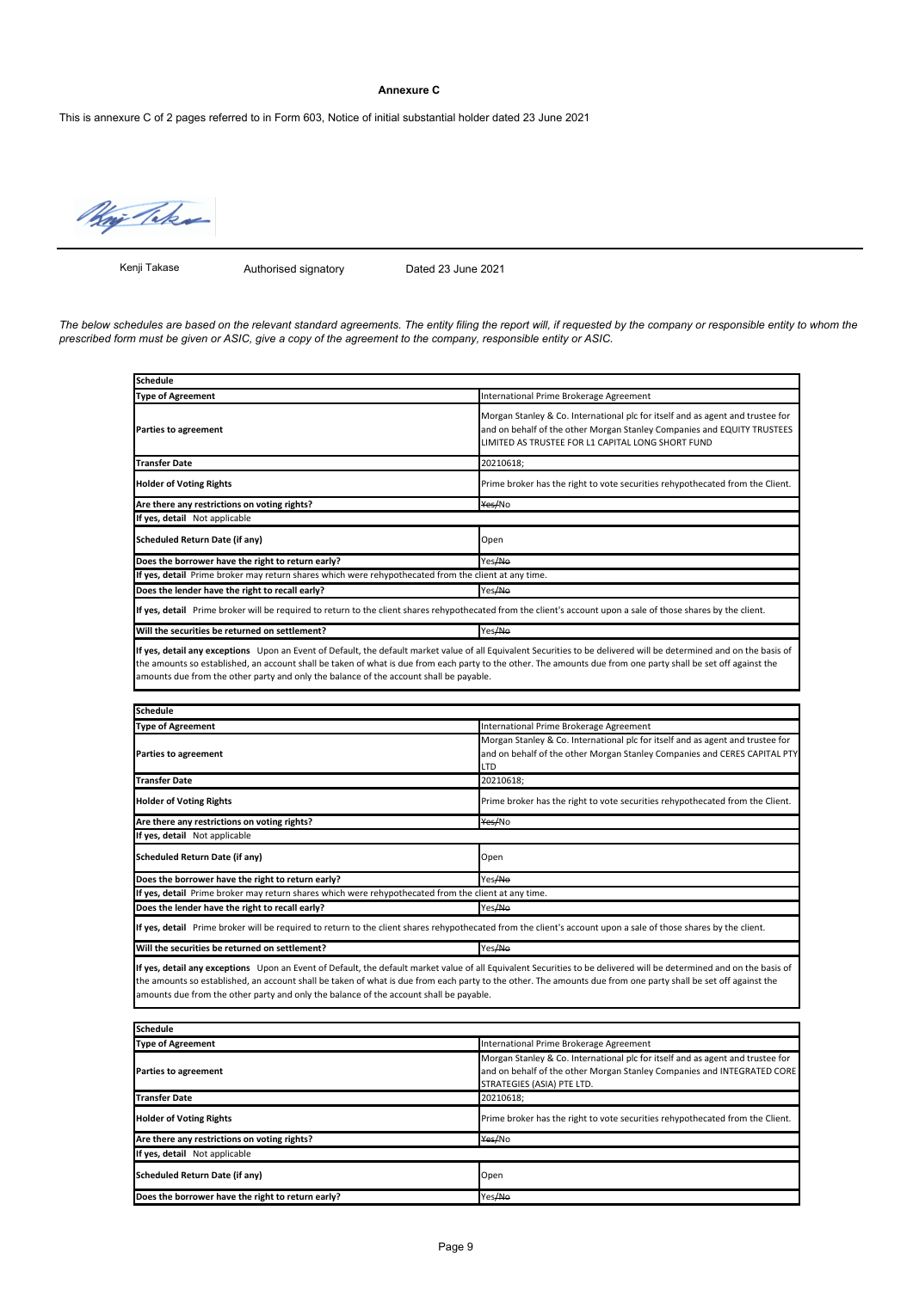# **Annexure C**

This is annexure C of 2 pages referred to in Form 603, Notice of initial substantial holder dated 23 June 2021



Kenji Takase

Authorised signatory Dated 23 June 2021

*The below schedules are based on the relevant standard agreements. The entity filing the report will, if requested by the company or responsible entity to whom the prescribed form must be given or ASIC, give a copy of the agreement to the company, responsible entity or ASIC.*

| Schedule                                                                                                                                                                                                                                                                                                                                                                                                                         |                                                                                                                                                                                                                |
|----------------------------------------------------------------------------------------------------------------------------------------------------------------------------------------------------------------------------------------------------------------------------------------------------------------------------------------------------------------------------------------------------------------------------------|----------------------------------------------------------------------------------------------------------------------------------------------------------------------------------------------------------------|
| <b>Type of Agreement</b>                                                                                                                                                                                                                                                                                                                                                                                                         | International Prime Brokerage Agreement                                                                                                                                                                        |
| <b>Parties to agreement</b>                                                                                                                                                                                                                                                                                                                                                                                                      | Morgan Stanley & Co. International plc for itself and as agent and trustee for<br>and on behalf of the other Morgan Stanley Companies and EQUITY TRUSTEES<br>LIMITED AS TRUSTEE FOR L1 CAPITAL LONG SHORT FUND |
| Transfer Date                                                                                                                                                                                                                                                                                                                                                                                                                    | 20210618;                                                                                                                                                                                                      |
| <b>Holder of Voting Rights</b>                                                                                                                                                                                                                                                                                                                                                                                                   | Prime broker has the right to vote securities rehypothecated from the Client.                                                                                                                                  |
| Are there any restrictions on voting rights?                                                                                                                                                                                                                                                                                                                                                                                     | Yes/No                                                                                                                                                                                                         |
| If yes, detail Not applicable                                                                                                                                                                                                                                                                                                                                                                                                    |                                                                                                                                                                                                                |
| <b>Scheduled Return Date (if any)</b>                                                                                                                                                                                                                                                                                                                                                                                            | Open                                                                                                                                                                                                           |
| Does the borrower have the right to return early?                                                                                                                                                                                                                                                                                                                                                                                | Yes <del>/No</del>                                                                                                                                                                                             |
| If yes, detail Prime broker may return shares which were rehypothecated from the client at any time.                                                                                                                                                                                                                                                                                                                             |                                                                                                                                                                                                                |
| Does the lender have the right to recall early?                                                                                                                                                                                                                                                                                                                                                                                  | Yes/No                                                                                                                                                                                                         |
| If yes, detail Prime broker will be required to return to the client shares rehypothecated from the client's account upon a sale of those shares by the client.                                                                                                                                                                                                                                                                  |                                                                                                                                                                                                                |
| Will the securities be returned on settlement?                                                                                                                                                                                                                                                                                                                                                                                   | Yes/No                                                                                                                                                                                                         |
| If yes, detail any exceptions Upon an Event of Default, the default market value of all Equivalent Securities to be delivered will be determined and on the basis of<br>the amounts so established, an account shall be taken of what is due from each party to the other. The amounts due from one party shall be set off against the<br>amounts due from the other party and only the balance of the account shall be payable. |                                                                                                                                                                                                                |
|                                                                                                                                                                                                                                                                                                                                                                                                                                  |                                                                                                                                                                                                                |
| <b>Schedule</b>                                                                                                                                                                                                                                                                                                                                                                                                                  |                                                                                                                                                                                                                |
| <b>Type of Agreement</b>                                                                                                                                                                                                                                                                                                                                                                                                         | International Prime Brokerage Agreement<br>Morgan Stanley & Co. International plc for itself and as agent and trustee for                                                                                      |
| <b>Parties to agreement</b>                                                                                                                                                                                                                                                                                                                                                                                                      | and on behalf of the other Morgan Stanley Companies and CERES CAPITAL PTY<br>LTD                                                                                                                               |
| Transfer Date                                                                                                                                                                                                                                                                                                                                                                                                                    | 20210618;                                                                                                                                                                                                      |
| <b>Holder of Voting Rights</b>                                                                                                                                                                                                                                                                                                                                                                                                   | Prime broker has the right to vote securities rehypothecated from the Client.                                                                                                                                  |
| Are there any restrictions on voting rights?                                                                                                                                                                                                                                                                                                                                                                                     | Yes/No                                                                                                                                                                                                         |
| If yes, detail Not applicable                                                                                                                                                                                                                                                                                                                                                                                                    |                                                                                                                                                                                                                |
| Scheduled Return Date (if any)                                                                                                                                                                                                                                                                                                                                                                                                   | Open                                                                                                                                                                                                           |
| Does the borrower have the right to return early?                                                                                                                                                                                                                                                                                                                                                                                | Yes/No                                                                                                                                                                                                         |
| If yes, detail Prime broker may return shares which were rehypothecated from the client at any time.                                                                                                                                                                                                                                                                                                                             |                                                                                                                                                                                                                |
| Does the lender have the right to recall early?                                                                                                                                                                                                                                                                                                                                                                                  | Yes/No                                                                                                                                                                                                         |
| If yes, detail Prime broker will be required to return to the client shares rehypothecated from the client's account upon a sale of those shares by the client.                                                                                                                                                                                                                                                                  |                                                                                                                                                                                                                |
| Will the securities be returned on settlement?                                                                                                                                                                                                                                                                                                                                                                                   | Yes/No                                                                                                                                                                                                         |
| If yes, detail any exceptions Upon an Event of Default, the default market value of all Equivalent Securities to be delivered will be determined and on the basis of<br>the amounts so established, an account shall be taken of what is due from each party to the other. The amounts due from one party shall be set off against the<br>amounts due from the other party and only the balance of the account shall be payable. |                                                                                                                                                                                                                |
| <b>Schedule</b>                                                                                                                                                                                                                                                                                                                                                                                                                  |                                                                                                                                                                                                                |
| <b>Type of Agreement</b>                                                                                                                                                                                                                                                                                                                                                                                                         | International Prime Brokerage Agreement                                                                                                                                                                        |
| <b>Parties to agreement</b>                                                                                                                                                                                                                                                                                                                                                                                                      | Morgan Stanley & Co. International plc for itself and as agent and trustee for<br>and on behalf of the other Morgan Stanley Companies and INTEGRATED CORE<br>STRATEGIES (ASIA) PTE LTD.                        |
| <b>Transfer Date</b>                                                                                                                                                                                                                                                                                                                                                                                                             | 20210618:                                                                                                                                                                                                      |

**Holder of Voting Rights** Prime broker has the right to vote securities rehypothecated from the Client.